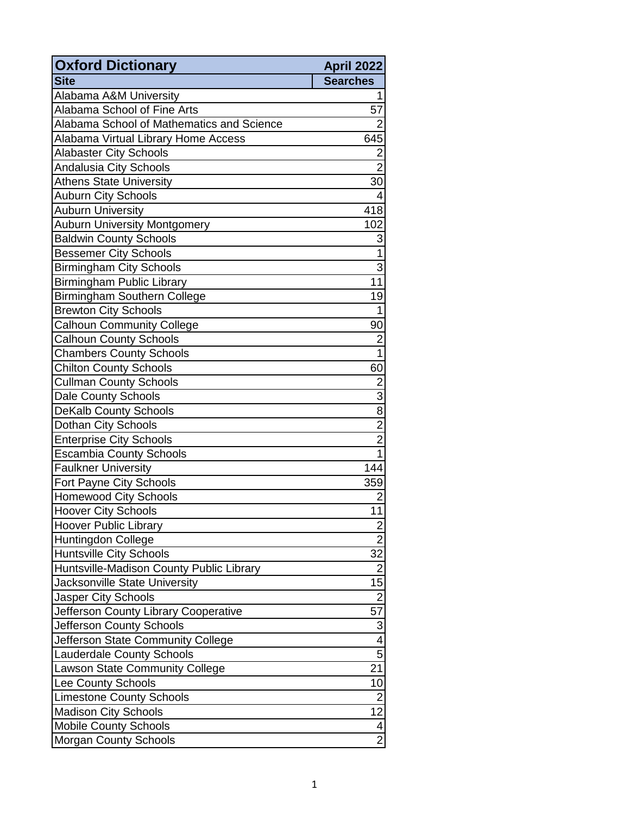| <b>Oxford Dictionary</b>                  | April 2022              |
|-------------------------------------------|-------------------------|
| <b>Site</b>                               | <b>Searches</b>         |
| Alabama A&M University                    |                         |
| Alabama School of Fine Arts               | 57                      |
| Alabama School of Mathematics and Science | 2                       |
| Alabama Virtual Library Home Access       | 645                     |
| <b>Alabaster City Schools</b>             | $\overline{\mathbf{c}}$ |
| Andalusia City Schools                    | $\overline{2}$          |
| <b>Athens State University</b>            | 30                      |
| Auburn City Schools                       | 4                       |
| <b>Auburn University</b>                  | 418                     |
| <b>Auburn University Montgomery</b>       | 102                     |
| <b>Baldwin County Schools</b>             | 3                       |
| <b>Bessemer City Schools</b>              | $\overline{1}$          |
| <b>Birmingham City Schools</b>            | $\overline{3}$          |
| <b>Birmingham Public Library</b>          | 11                      |
| Birmingham Southern College               | 19                      |
| <b>Brewton City Schools</b>               | $\mathbf{1}$            |
| <b>Calhoun Community College</b>          | 90                      |
| <b>Calhoun County Schools</b>             | $\overline{c}$          |
| <b>Chambers County Schools</b>            | 1                       |
| <b>Chilton County Schools</b>             | 60                      |
| <b>Cullman County Schools</b>             | $\overline{c}$          |
| <b>Dale County Schools</b>                | $\overline{3}$          |
| <b>DeKalb County Schools</b>              | $\overline{8}$          |
| Dothan City Schools                       |                         |
| <b>Enterprise City Schools</b>            | $\frac{2}{2}$           |
| <b>Escambia County Schools</b>            | $\mathbf{1}$            |
| <b>Faulkner University</b>                | 144                     |
| Fort Payne City Schools                   | 359                     |
| <b>Homewood City Schools</b>              | $\overline{2}$          |
| <b>Hoover City Schools</b>                | 11                      |
| <b>Hoover Public Library</b>              | 2                       |
| Huntingdon College                        | $\overline{c}$          |
| <b>Huntsville City Schools</b>            | $\overline{32}$         |
| Huntsville-Madison County Public Library  | $\overline{2}$          |
| Jacksonville State University             | $\overline{15}$         |
| Jasper City Schools                       | $\overline{2}$          |
| Jefferson County Library Cooperative      | $\overline{57}$         |
| Jefferson County Schools                  | $\overline{3}$          |
| Jefferson State Community College         | $\overline{4}$          |
| <b>Lauderdale County Schools</b>          | $\overline{5}$          |
| <b>Lawson State Community College</b>     | 21                      |
| Lee County Schools                        | 10                      |
| <b>Limestone County Schools</b>           | $\overline{2}$          |
| <b>Madison City Schools</b>               | 12                      |
| <b>Mobile County Schools</b>              | $\overline{\mathbf{4}}$ |
| <b>Morgan County Schools</b>              | $\overline{2}$          |